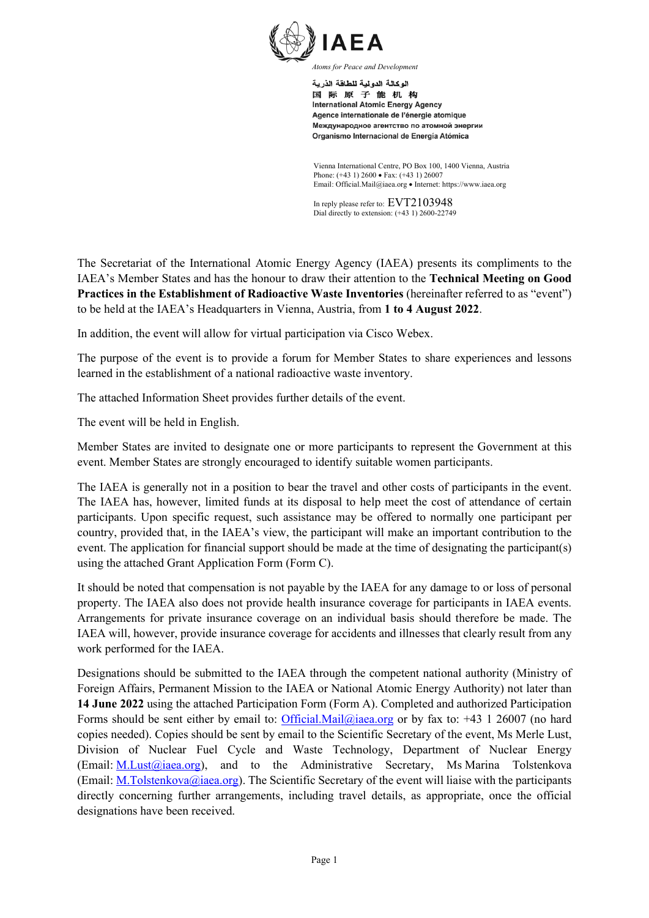

اله كالة الدو لبة للطاقة الذر بة 国际原子能机构 **International Atomic Energy Agency** Agence internationale de l'énergie atomique Международное агентство по атомной энергии Organismo Internacional de Energía Atómica

Vienna International Centre, PO Box 100, 1400 Vienna, Austria Phone: (+43 1) 2600 • Fax: (+43 1) 26007 Email: Official.Mail@iaea.org • Internet: https://www.iaea.org

In reply please refer to: EVT2103948 Dial directly to extension: (+43 1) 2600-22749

The Secretariat of the International Atomic Energy Agency (IAEA) presents its compliments to the IAEA's Member States and has the honour to draw their attention to the **Technical Meeting on Good Practices in the Establishment of Radioactive Waste Inventories** (hereinafter referred to as "event") to be held at the IAEA's Headquarters in Vienna, Austria, from **1 to 4 August 2022**.

In addition, the event will allow for virtual participation via Cisco Webex.

The purpose of the event is to provide a forum for Member States to share experiences and lessons learned in the establishment of a national radioactive waste inventory.

The attached Information Sheet provides further details of the event.

The event will be held in English.

Member States are invited to designate one or more participants to represent the Government at this event. Member States are strongly encouraged to identify suitable women participants.

The IAEA is generally not in a position to bear the travel and other costs of participants in the event. The IAEA has, however, limited funds at its disposal to help meet the cost of attendance of certain participants. Upon specific request, such assistance may be offered to normally one participant per country, provided that, in the IAEA's view, the participant will make an important contribution to the event. The application for financial support should be made at the time of designating the participant(s) using the attached Grant Application Form (Form C).

It should be noted that compensation is not payable by the IAEA for any damage to or loss of personal property. The IAEA also does not provide health insurance coverage for participants in IAEA events. Arrangements for private insurance coverage on an individual basis should therefore be made. The IAEA will, however, provide insurance coverage for accidents and illnesses that clearly result from any work performed for the IAEA.

Designations should be submitted to the IAEA through the competent national authority (Ministry of Foreign Affairs, Permanent Mission to the IAEA or National Atomic Energy Authority) not later than **14 June 2022** using the attached Participation Form (Form A). Completed and authorized Participation Forms should be sent either by email to: [Official.Mail@iaea.org](mailto:official.mail@iaea.org) or by fax to:  $+43$  1 26007 (no hard copies needed). Copies should be sent by email to the Scientific Secretary of the event, Ms Merle Lust, Division of Nuclear Fuel Cycle and Waste Technology, Department of Nuclear Energy (Email: [M.Lust@iaea.org\)](mailto:M.Lust@iaea.org), and to the Administrative Secretary, Ms Marina Tolstenkova (Email: [M.Tolstenkova@iaea.org\).](mailto:M.Tolstenkova@iaea.org)) The Scientific Secretary of the event will liaise with the participants directly concerning further arrangements, including travel details, as appropriate, once the official designations have been received.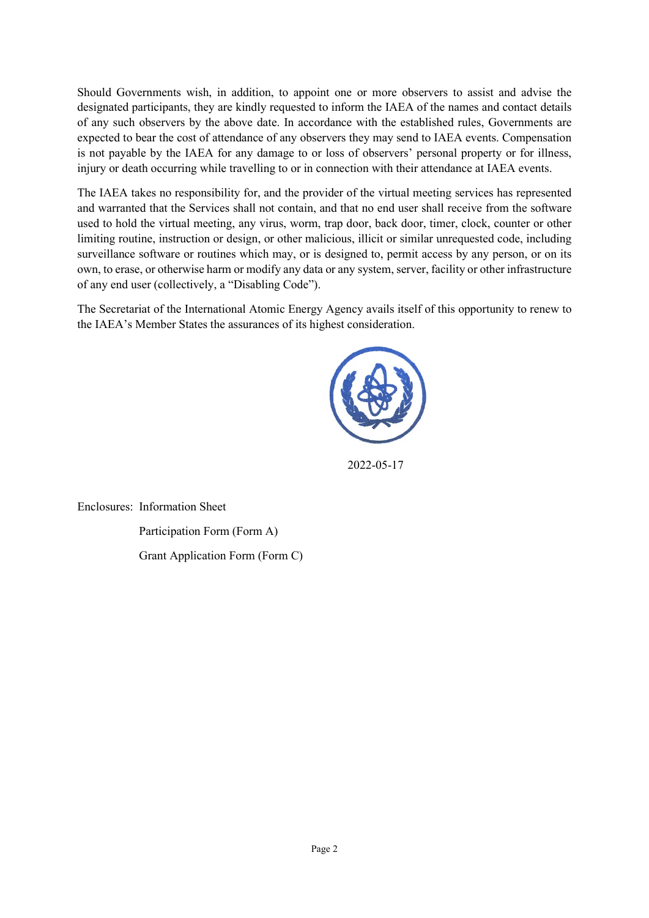Should Governments wish, in addition, to appoint one or more observers to assist and advise the designated participants, they are kindly requested to inform the IAEA of the names and contact details of any such observers by the above date. In accordance with the established rules, Governments are expected to bear the cost of attendance of any observers they may send to IAEA events. Compensation is not payable by the IAEA for any damage to or loss of observers' personal property or for illness, injury or death occurring while travelling to or in connection with their attendance at IAEA events.

The IAEA takes no responsibility for, and the provider of the virtual meeting services has represented and warranted that the Services shall not contain, and that no end user shall receive from the software used to hold the virtual meeting, any virus, worm, trap door, back door, timer, clock, counter or other limiting routine, instruction or design, or other malicious, illicit or similar unrequested code, including surveillance software or routines which may, or is designed to, permit access by any person, or on its own, to erase, or otherwise harm or modify any data or any system, server, facility or other infrastructure of any end user (collectively, a "Disabling Code").

The Secretariat of the International Atomic Energy Agency avails itself of this opportunity to renew to the IAEA's Member States the assurances of its highest consideration.



2022-05-17

Enclosures: Information Sheet Participation Form (Form A)

Grant Application Form (Form C)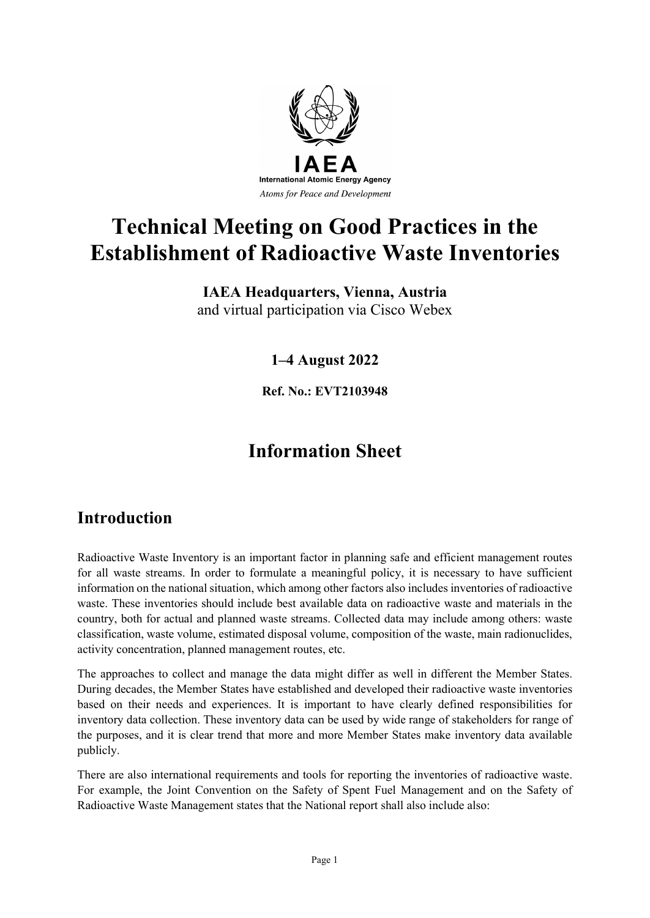

# **Technical Meeting on Good Practices in the Establishment of Radioactive Waste Inventories**

### **IAEA Headquarters, Vienna, Austria** and virtual participation via Cisco Webex

**1–4 August 2022**

**Ref. No.: EVT2103948**

## **Information Sheet**

## **Introduction**

Radioactive Waste Inventory is an important factor in planning safe and efficient management routes for all waste streams. In order to formulate a meaningful policy, it is necessary to have sufficient information on the national situation, which among other factors also includes inventories of radioactive waste. These inventories should include best available data on radioactive waste and materials in the country, both for actual and planned waste streams. Collected data may include among others: waste classification, waste volume, estimated disposal volume, composition of the waste, main radionuclides, activity concentration, planned management routes, etc.

The approaches to collect and manage the data might differ as well in different the Member States. During decades, the Member States have established and developed their radioactive waste inventories based on their needs and experiences. It is important to have clearly defined responsibilities for inventory data collection. These inventory data can be used by wide range of stakeholders for range of the purposes, and it is clear trend that more and more Member States make inventory data available publicly.

There are also international requirements and tools for reporting the inventories of radioactive waste. For example, the Joint Convention on the Safety of Spent Fuel Management and on the Safety of Radioactive Waste Management states that the National report shall also include also: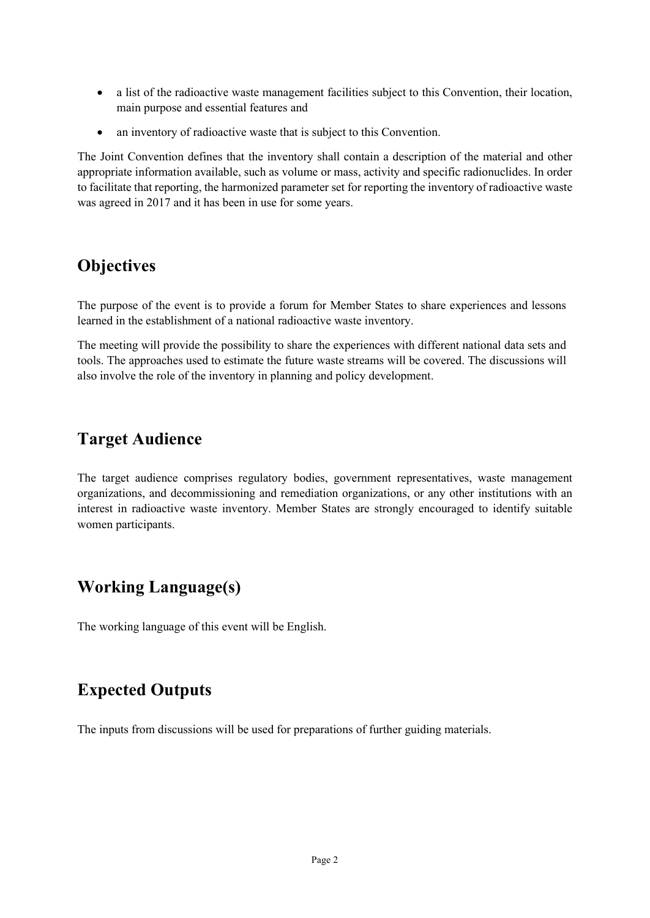- a list of the radioactive waste management facilities subject to this Convention, their location, main purpose and essential features and
- an inventory of radioactive waste that is subject to this Convention.

The Joint Convention defines that the inventory shall contain a description of the material and other appropriate information available, such as volume or mass, activity and specific radionuclides. In order to facilitate that reporting, the harmonized parameter set for reporting the inventory of radioactive waste was agreed in 2017 and it has been in use for some years.

### **Objectives**

The purpose of the event is to provide a forum for Member States to share experiences and lessons learned in the establishment of a national radioactive waste inventory.

The meeting will provide the possibility to share the experiences with different national data sets and tools. The approaches used to estimate the future waste streams will be covered. The discussions will also involve the role of the inventory in planning and policy development.

### **Target Audience**

The target audience comprises regulatory bodies, government representatives, waste management organizations, and decommissioning and remediation organizations, or any other institutions with an interest in radioactive waste inventory. Member States are strongly encouraged to identify suitable women participants.

## **Working Language(s)**

The working language of this event will be English.

## **Expected Outputs**

The inputs from discussions will be used for preparations of further guiding materials.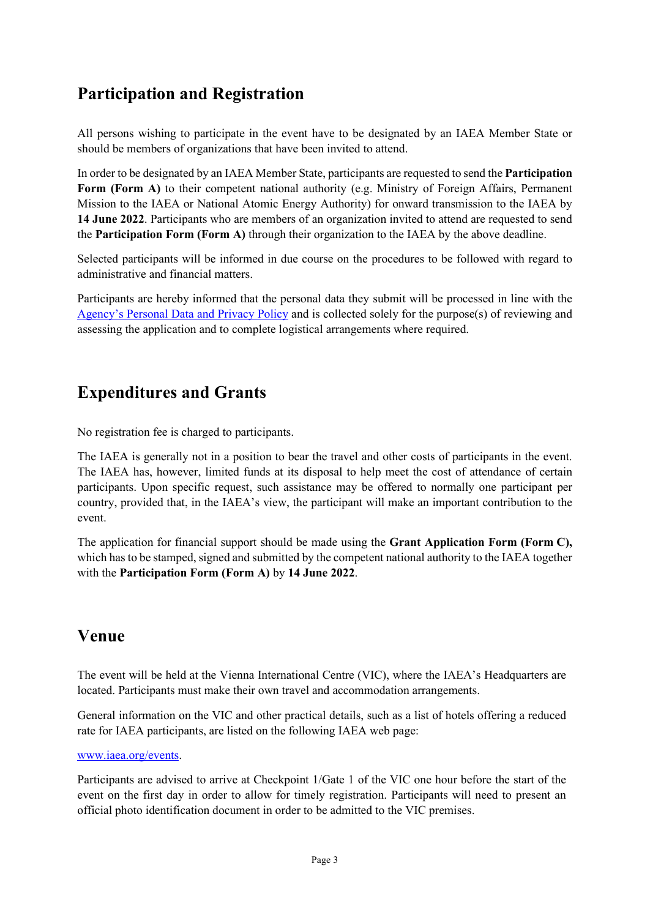## **Participation and Registration**

All persons wishing to participate in the event have to be designated by an IAEA Member State or should be members of organizations that have been invited to attend.

In order to be designated by an IAEA Member State, participants are requested to send the **Participation Form (Form A)** to their competent national authority (e.g. Ministry of Foreign Affairs, Permanent Mission to the IAEA or National Atomic Energy Authority) for onward transmission to the IAEA by **14 June 2022**. Participants who are members of an organization invited to attend are requested to send the **Participation Form (Form A)** through their organization to the IAEA by the above deadline.

Selected participants will be informed in due course on the procedures to be followed with regard to administrative and financial matters.

Participants are hereby informed that the personal data they submit will be processed in line with the [Agency's Personal Data and Privacy Policy](https://www.iaea.org/about/privacy-policy#:%7E:text=The%20IAEA%20is%20committed%20to,accountable%20and%20non%2Ddiscriminatory%20manner.&text=The%20Privacy%20Policy%20provides%20the,carrying%20out%20its%20mandated%20activities.) and is collected solely for the purpose(s) of reviewing and assessing the application and to complete logistical arrangements where required.

## **Expenditures and Grants**

No registration fee is charged to participants.

The IAEA is generally not in a position to bear the travel and other costs of participants in the event. The IAEA has, however, limited funds at its disposal to help meet the cost of attendance of certain participants. Upon specific request, such assistance may be offered to normally one participant per country, provided that, in the IAEA's view, the participant will make an important contribution to the event.

The application for financial support should be made using the **Grant Application Form (Form C),** which has to be stamped, signed and submitted by the competent national authority to the IAEA together with the **Participation Form (Form A)** by **14 June 2022**.

## **Venue**

The event will be held at the Vienna International Centre (VIC), where the IAEA's Headquarters are located. Participants must make their own travel and accommodation arrangements.

General information on the VIC and other practical details, such as a list of hotels offering a reduced rate for IAEA participants, are listed on the following IAEA web page:

#### [www.iaea.org/events.](http://www.iaea.org/events)

Participants are advised to arrive at Checkpoint 1/Gate 1 of the VIC one hour before the start of the event on the first day in order to allow for timely registration. Participants will need to present an official photo identification document in order to be admitted to the VIC premises.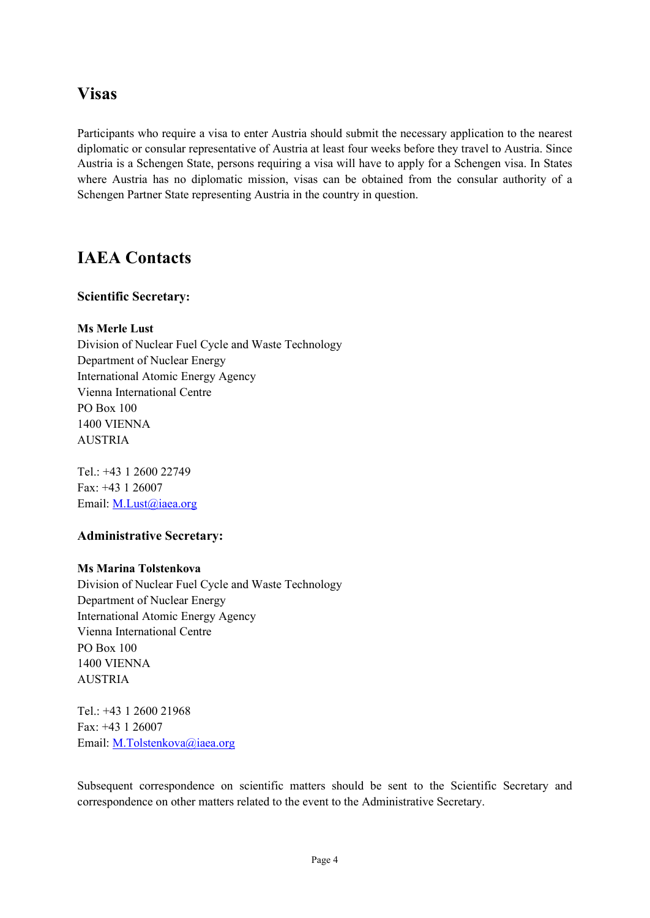### **Visas**

Participants who require a visa to enter Austria should submit the necessary application to the nearest diplomatic or consular representative of Austria at least four weeks before they travel to Austria. Since Austria is a Schengen State, persons requiring a visa will have to apply for a Schengen visa. In States where Austria has no diplomatic mission, visas can be obtained from the consular authority of a Schengen Partner State representing Austria in the country in question.

### **IAEA Contacts**

#### **Scientific Secretary:**

#### **Ms Merle Lust**

Division of Nuclear Fuel Cycle and Waste Technology Department of Nuclear Energy International Atomic Energy Agency Vienna International Centre PO Box 100 1400 VIENNA AUSTRIA

Tel.: +43 1 2600 22749 Fax: +43 1 26007 Email: [M.Lust@iaea.org](mailto:M.Lust@iaea.org)

#### **Administrative Secretary:**

#### **Ms Marina Tolstenkova**

Division of Nuclear Fuel Cycle and Waste Technology Department of Nuclear Energy International Atomic Energy Agency Vienna International Centre PO Box 100 1400 VIENNA AUSTRIA

Tel.: +43 1 2600 21968 Fax: +43 1 26007 Email: [M.Tolstenkova@iaea.org](mailto:M.Tolstenkova@iaea.org)

Subsequent correspondence on scientific matters should be sent to the Scientific Secretary and correspondence on other matters related to the event to the Administrative Secretary.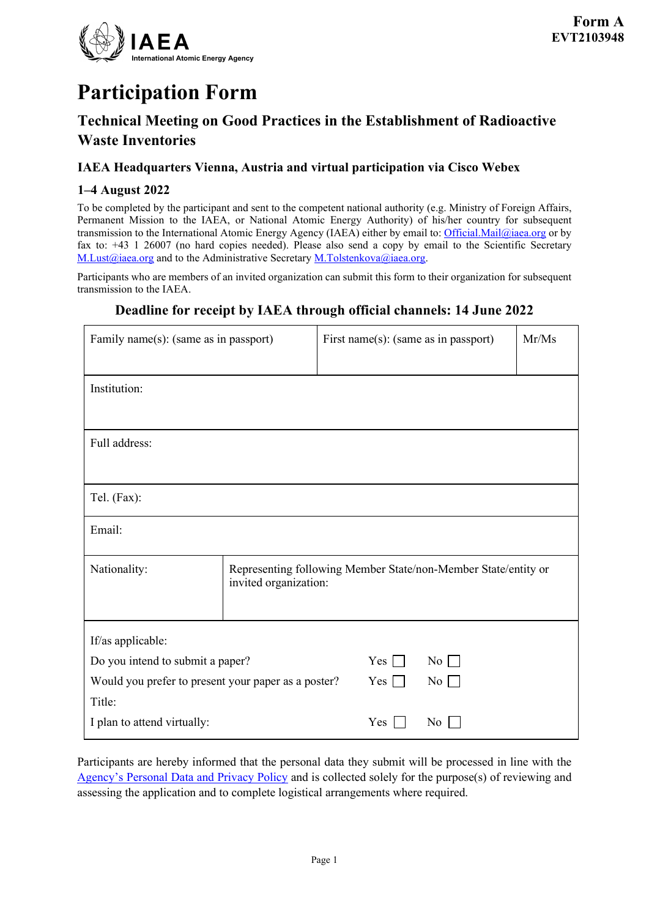

# **Participation Form**

### **Technical Meeting on Good Practices in the Establishment of Radioactive Waste Inventories**

#### **IAEA Headquarters Vienna, Austria and virtual participation via Cisco Webex**

#### **1–4 August 2022**

To be completed by the participant and sent to the competent national authority (e.g. Ministry of Foreign Affairs, Permanent Mission to the IAEA, or National Atomic Energy Authority) of his/her country for subsequent transmission to the International Atomic Energy Agency (IAEA) either by email to[: Official.Mail@iaea.org](mailto:official.mail@iaea.org) or by fax to: +43 1 26007 (no hard copies needed). Please also send a copy by email to the Scientific Secretary [M.Lust@iaea.org](mailto:M.Lust@iaea.org) and to the Administrative Secretary [M.Tolstenkova@iaea.org.](mailto:M.Tolstenkova@iaea.org)

Participants who are members of an invited organization can submit this form to their organization for subsequent transmission to the IAEA.

### **Deadline for receipt by IAEA through official channels: 14 June 2022**

| Family name(s): (same as in passport)               |                                                                                         | First name(s): (same as in passport) |                  | Mr/Ms |
|-----------------------------------------------------|-----------------------------------------------------------------------------------------|--------------------------------------|------------------|-------|
| Institution:                                        |                                                                                         |                                      |                  |       |
|                                                     |                                                                                         |                                      |                  |       |
| Full address:                                       |                                                                                         |                                      |                  |       |
|                                                     |                                                                                         |                                      |                  |       |
| Tel. (Fax):                                         |                                                                                         |                                      |                  |       |
| Email:                                              |                                                                                         |                                      |                  |       |
| Nationality:                                        | Representing following Member State/non-Member State/entity or<br>invited organization: |                                      |                  |       |
| If/as applicable:                                   |                                                                                         |                                      |                  |       |
| Do you intend to submit a paper?                    |                                                                                         | Yes                                  | $\overline{N}$ o |       |
| Would you prefer to present your paper as a poster? |                                                                                         | $Yes$ $\Box$                         | $\overline{N_0}$ |       |
| Title:                                              |                                                                                         |                                      |                  |       |
| I plan to attend virtually:                         |                                                                                         | Yes                                  | No               |       |

Participants are hereby informed that the personal data they submit will be processed in line with the [Agency's Personal Data and Privacy Policy](https://www.iaea.org/about/privacy-policy#:%7E:text=The%20IAEA%20is%20committed%20to,accountable%20and%20non%2Ddiscriminatory%20manner.&text=The%20Privacy%20Policy%20provides%20the,carrying%20out%20its%20mandated%20activities.) and is collected solely for the purpose(s) of reviewing and assessing the application and to complete logistical arrangements where required.